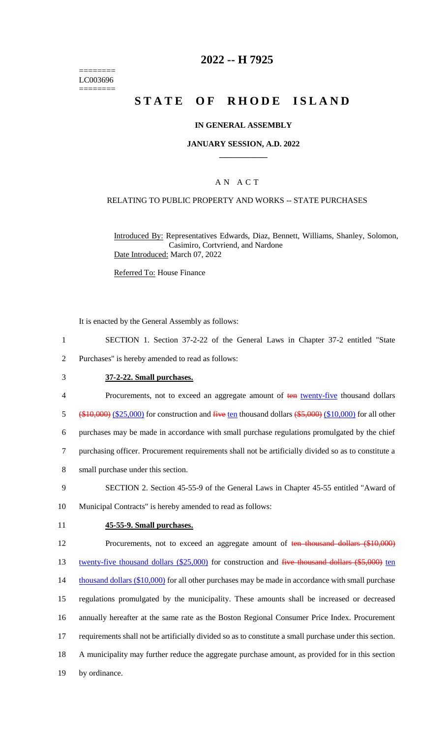======== LC003696 ========

# **2022 -- H 7925**

# **STATE OF RHODE ISLAND**

### **IN GENERAL ASSEMBLY**

### **JANUARY SESSION, A.D. 2022 \_\_\_\_\_\_\_\_\_\_\_\_**

## A N A C T

### RELATING TO PUBLIC PROPERTY AND WORKS -- STATE PURCHASES

Introduced By: Representatives Edwards, Diaz, Bennett, Williams, Shanley, Solomon, Casimiro, Cortvriend, and Nardone Date Introduced: March 07, 2022

Referred To: House Finance

It is enacted by the General Assembly as follows:

- 1 SECTION 1. Section 37-2-22 of the General Laws in Chapter 37-2 entitled "State
- 2 Purchases" is hereby amended to read as follows:
- 

### 3 **37-2-22. Small purchases.**

- 4 Procurements, not to exceed an aggregate amount of ten twenty-five thousand dollars 5  $(\frac{$10,000}{10,000})$  (\$25,000) for construction and five ten thousand dollars  $(\frac{$5,000}{10,000})$  for all other 6 purchases may be made in accordance with small purchase regulations promulgated by the chief 7 purchasing officer. Procurement requirements shall not be artificially divided so as to constitute a 8 small purchase under this section.
- 9 SECTION 2. Section 45-55-9 of the General Laws in Chapter 45-55 entitled "Award of
- 10 Municipal Contracts" is hereby amended to read as follows:
- 

#### 11 **45-55-9. Small purchases.**

12 Procurements, not to exceed an aggregate amount of ten thousand dollars (\$10,000)

13 twenty-five thousand dollars (\$25,000) for construction and five thousand dollars (\$5,000) ten 14 thousand dollars (\$10,000) for all other purchases may be made in accordance with small purchase regulations promulgated by the municipality. These amounts shall be increased or decreased annually hereafter at the same rate as the Boston Regional Consumer Price Index. Procurement requirements shall not be artificially divided so as to constitute a small purchase under this section. A municipality may further reduce the aggregate purchase amount, as provided for in this section by ordinance.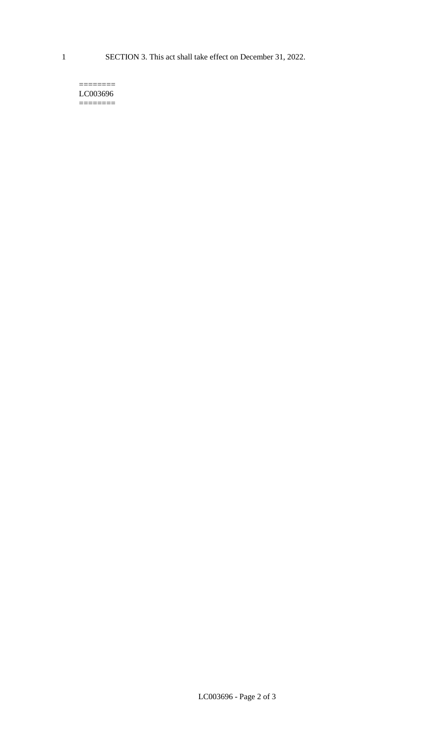1 SECTION 3. This act shall take effect on December 31, 2022.

#### $=$ LC003696 ========

LC003696 - Page 2 of 3